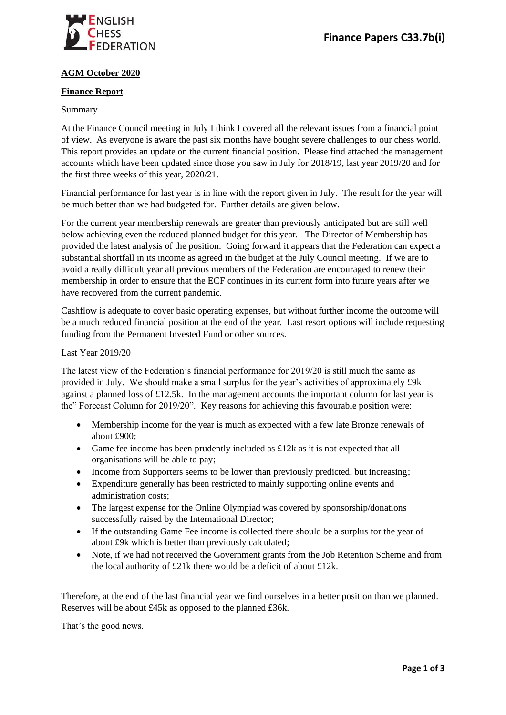

# **AGM October 2020**

### **Finance Report**

## Summary

At the Finance Council meeting in July I think I covered all the relevant issues from a financial point of view. As everyone is aware the past six months have bought severe challenges to our chess world. This report provides an update on the current financial position. Please find attached the management accounts which have been updated since those you saw in July for 2018/19, last year 2019/20 and for the first three weeks of this year, 2020/21.

Financial performance for last year is in line with the report given in July. The result for the year will be much better than we had budgeted for. Further details are given below.

For the current year membership renewals are greater than previously anticipated but are still well below achieving even the reduced planned budget for this year. The Director of Membership has provided the latest analysis of the position. Going forward it appears that the Federation can expect a substantial shortfall in its income as agreed in the budget at the July Council meeting. If we are to avoid a really difficult year all previous members of the Federation are encouraged to renew their membership in order to ensure that the ECF continues in its current form into future years after we have recovered from the current pandemic.

Cashflow is adequate to cover basic operating expenses, but without further income the outcome will be a much reduced financial position at the end of the year. Last resort options will include requesting funding from the Permanent Invested Fund or other sources.

#### Last Year 2019/20

The latest view of the Federation's financial performance for 2019/20 is still much the same as provided in July. We should make a small surplus for the year's activities of approximately £9k against a planned loss of £12.5k. In the management accounts the important column for last year is the" Forecast Column for 2019/20". Key reasons for achieving this favourable position were:

- Membership income for the year is much as expected with a few late Bronze renewals of about £900;
- Game fee income has been prudently included as  $\pounds$ 12k as it is not expected that all organisations will be able to pay;
- Income from Supporters seems to be lower than previously predicted, but increasing;
- Expenditure generally has been restricted to mainly supporting online events and administration costs;
- The largest expense for the Online Olympiad was covered by sponsorship/donations successfully raised by the International Director;
- If the outstanding Game Fee income is collected there should be a surplus for the year of about £9k which is better than previously calculated;
- Note, if we had not received the Government grants from the Job Retention Scheme and from the local authority of £21k there would be a deficit of about £12k.

Therefore, at the end of the last financial year we find ourselves in a better position than we planned. Reserves will be about £45k as opposed to the planned £36k.

That's the good news.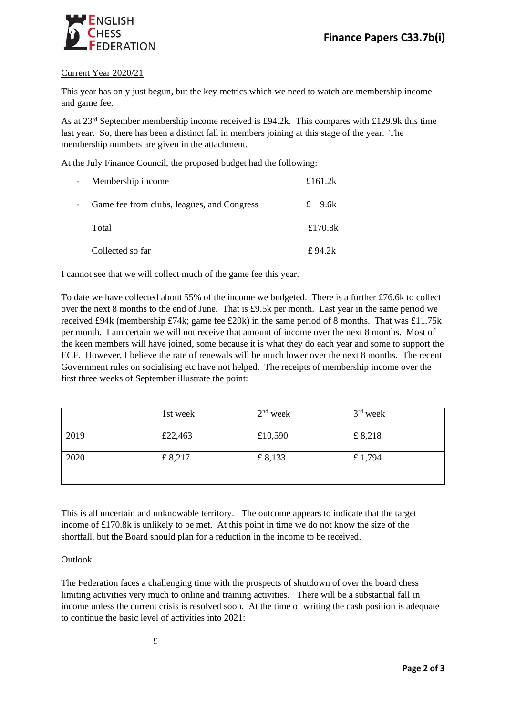

# Current Year 2020/21

This year has only just begun, but the key metrics which we need to watch are membership income and game fee.

As at  $23<sup>rd</sup>$  September membership income received is £94.2k. This compares with £129.9k this time last year. So, there has been a distinct fall in members joining at this stage of the year. The membership numbers are given in the attachment.

At the July Finance Council, the proposed budget had the following:

| $\overline{\phantom{0}}$ | Membership income                          | £161.2 $k$ |
|--------------------------|--------------------------------------------|------------|
| $\overline{\phantom{0}}$ | Game fee from clubs, leagues, and Congress | £ $9.6k$   |
|                          | Total                                      | £170.8 $k$ |
|                          | Collected so far                           | £94.2k     |

I cannot see that we will collect much of the game fee this year.

To date we have collected about 55% of the income we budgeted. There is a further £76.6k to collect over the next 8 months to the end of June. That is £9.5k per month. Last year in the same period we received £94k (membership £74k; game fee £20k) in the same period of 8 months. That was £11.75k per month. I am certain we will not receive that amount of income over the next 8 months. Most of the keen members will have joined, some because it is what they do each year and some to support the ECF. However, I believe the rate of renewals will be much lower over the next 8 months. The recent Government rules on socialising etc have not helped. The receipts of membership income over the first three weeks of September illustrate the point:

|      | 1st week | $2nd$ week | $3rd$ week |
|------|----------|------------|------------|
| 2019 | £22,463  | £10,590    | £8,218     |
| 2020 | £ 8,217  | £ $8,133$  | £ 1,794    |

This is all uncertain and unknowable territory. The outcome appears to indicate that the target income of £170.8k is unlikely to be met. At this point in time we do not know the size of the shortfall, but the Board should plan for a reduction in the income to be received.

# **Outlook**

The Federation faces a challenging time with the prospects of shutdown of over the board chess limiting activities very much to online and training activities. There will be a substantial fall in income unless the current crisis is resolved soon. At the time of writing the cash position is adequate to continue the basic level of activities into 2021: